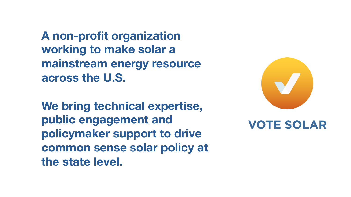**A non-profit organization working to make solar a mainstream energy resource across the U.S.**

**We bring technical expertise, public engagement and policymaker support to drive common sense solar policy at the state level.**



#### **VOTE SOLAR**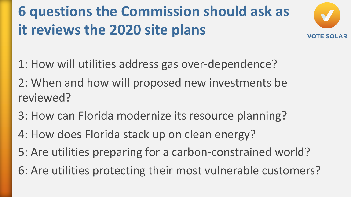### **6 questions the Commission should ask as it reviews the 2020 site plans**



1: How will utilities address gas over-dependence? 2: When and how will proposed new investments be reviewed?

- 3: How can Florida modernize its resource planning?
- 4: How does Florida stack up on clean energy?
- 5: Are utilities preparing for a carbon-constrained world?
- 6: Are utilities protecting their most vulnerable customers?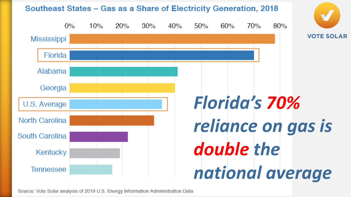

Source: Vote Solar analysis of 2019 U.S. Energy Information Administration Data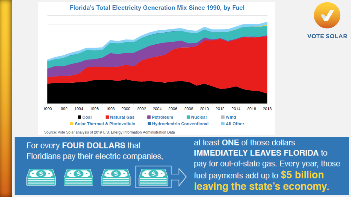



#### For every FOUR DOLLARS that Floridians pay their electric companies,





at least ONE of those dollars **IMMEDIATELY LEAVES FLORIDA to** pay for out-of-state gas. Every year, those fuel payments add up to \$5 billion leaving the state's economy.

**VOTE SOLAR**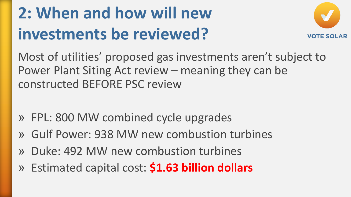## **2: When and how will new investments be reviewed?**



Most of utilities' proposed gas investments aren't subject to Power Plant Siting Act review – meaning they can be constructed BEFORE PSC review

- » FPL: 800 MW combined cycle upgrades
- » Gulf Power: 938 MW new combustion turbines
- » Duke: 492 MW new combustion turbines
- » Estimated capital cost: **\$1.63 billion dollars**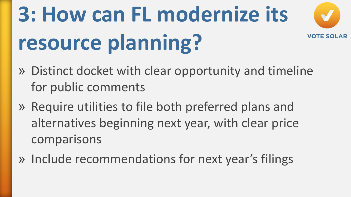#### **3: How can FL modernize its VOTE SOLAR resource planning?**

- » Distinct docket with clear opportunity and timeline for public comments
- » Require utilities to file both preferred plans and alternatives beginning next year, with clear price comparisons
- » Include recommendations for next year's filings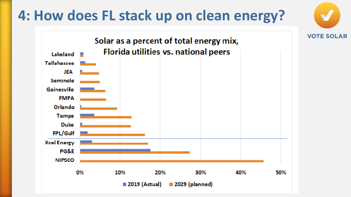#### **4: How does FL stack up on clean energy?**

**VOTE SOLAR** 

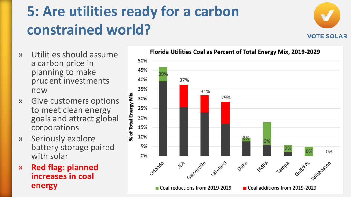### **5: Are utilities ready for a carbon constrained world?**



- » Utilities should assume a carbon price in planning to make prudent investments now
- » Give customers options to meet clean energy goals and attract global corporations
- » Seriously explore battery storage paired with solar
- » **Red flag: planned increases in coal energy**

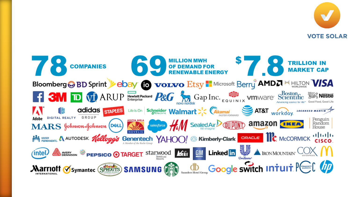

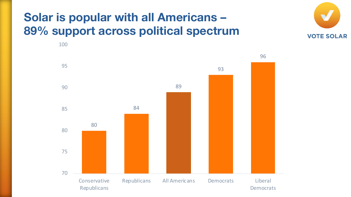#### **Solar is popular with all Americans – 89% support across political spectrum**



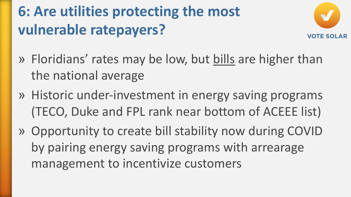#### **6: Are utilities protecting the most vulnerable ratepayers?**



- » Floridians' rates may be low, but bills are higher than the national average
- » Historic under-investment in energy saving programs (TECO, Duke and FPL rank near bottom of ACEEE list)
- » Opportunity to create bill stability now during COVID by pairing energy saving programs with arrearage management to incentivize customers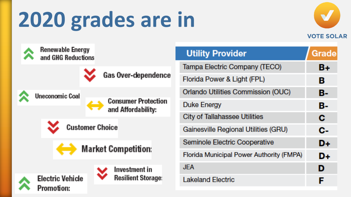# **2020 grades are in**





| <b>Utility Provider</b>                     | Grade |
|---------------------------------------------|-------|
| Tampa Electric Company (TECO)               | B+    |
| Florida Power & Light (FPL)                 | в     |
| Orlando Utilities Commission (OUC)          | В-    |
| <b>Duke Energy</b>                          | в-    |
| <b>City of Tallahassee Utilities</b>        | с     |
| <b>Gainesville Regional Utilities (GRU)</b> | с.    |
| Seminole Electric Cooperative               | D+    |
| Florida Municipal Power Authority (FMPA)    | D+    |
| JEA                                         | D     |
| <b>Lakeland Electric</b>                    |       |